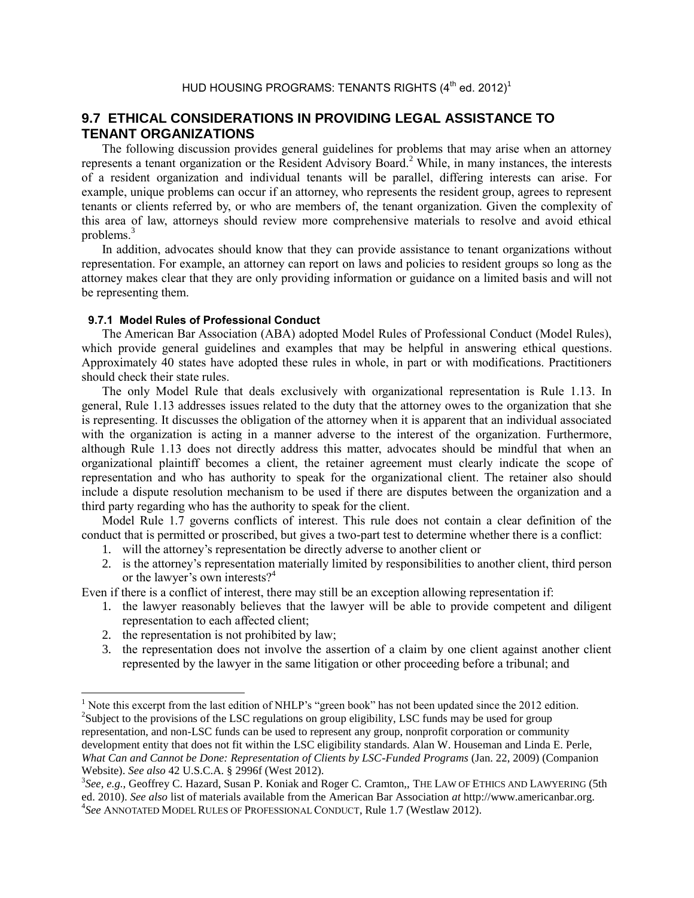## **9.7 ETHICAL CONSIDERATIONS IN PROVIDING LEGAL ASSISTANCE TO TENANT ORGANIZATIONS**

The following discussion provides general guidelines for problems that may arise when an attorney represents a tenant organization or the Resident Advisory Board.<sup>2</sup> While, in many instances, the interests of a resident organization and individual tenants will be parallel, differing interests can arise. For example, unique problems can occur if an attorney, who represents the resident group, agrees to represent tenants or clients referred by, or who are members of, the tenant organization. Given the complexity of this area of law, attorneys should review more comprehensive materials to resolve and avoid ethical problems.<sup>3</sup>

In addition, advocates should know that they can provide assistance to tenant organizations without representation. For example, an attorney can report on laws and policies to resident groups so long as the attorney makes clear that they are only providing information or guidance on a limited basis and will not be representing them.

## **9.7.1 Model Rules of Professional Conduct**

The American Bar Association (ABA) adopted Model Rules of Professional Conduct (Model Rules), which provide general guidelines and examples that may be helpful in answering ethical questions. Approximately 40 states have adopted these rules in whole, in part or with modifications. Practitioners should check their state rules.

The only Model Rule that deals exclusively with organizational representation is Rule 1.13. In general, Rule 1.13 addresses issues related to the duty that the attorney owes to the organization that she is representing. It discusses the obligation of the attorney when it is apparent that an individual associated with the organization is acting in a manner adverse to the interest of the organization. Furthermore, although Rule 1.13 does not directly address this matter, advocates should be mindful that when an organizational plaintiff becomes a client, the retainer agreement must clearly indicate the scope of representation and who has authority to speak for the organizational client. The retainer also should include a dispute resolution mechanism to be used if there are disputes between the organization and a third party regarding who has the authority to speak for the client.

Model Rule 1.7 governs conflicts of interest. This rule does not contain a clear definition of the conduct that is permitted or proscribed, but gives a two-part test to determine whether there is a conflict:

- 1. will the attorney's representation be directly adverse to another client or
- 2. is the attorney's representation materially limited by responsibilities to another client, third person or the lawyer's own interests? $4^4$

Even if there is a conflict of interest, there may still be an exception allowing representation if:

- 1. the lawyer reasonably believes that the lawyer will be able to provide competent and diligent representation to each affected client;
- 2. the representation is not prohibited by law;

 $\overline{\phantom{a}}$ 

3. the representation does not involve the assertion of a claim by one client against another client represented by the lawyer in the same litigation or other proceeding before a tribunal; and

<sup>&</sup>lt;sup>1</sup> Note this excerpt from the last edition of NHLP's "green book" has not been updated since the 2012 edition. <sup>2</sup>Subject to the provisions of the LSC regulations on group eligibility, LSC funds may be used for group

representation, and non-LSC funds can be used to represent any group, nonprofit corporation or community development entity that does not fit within the LSC eligibility standards. Alan W. Houseman and Linda E. Perle, What Can and Cannot be Done: Representation of Clients by LSC-Funded Programs (Jan. 22, 2009) (Companion Website). *See also* 42 U.S.C.A. § 2996f (West 2012).

<sup>&</sup>lt;sup>3</sup>See, e.g., Geoffrey C. Hazard, Susan P. Koniak and Roger C. Cramton,, THE LAW OF ETHICS AND LAWYERING (5th ed. 2010). *See also* list of materials available from the American Bar Association *at* http://www.americanbar.org. 4 *See* ANNOTATED MODEL RULES OF PROFESSIONAL CONDUCT, Rule 1.7 (Westlaw 2012).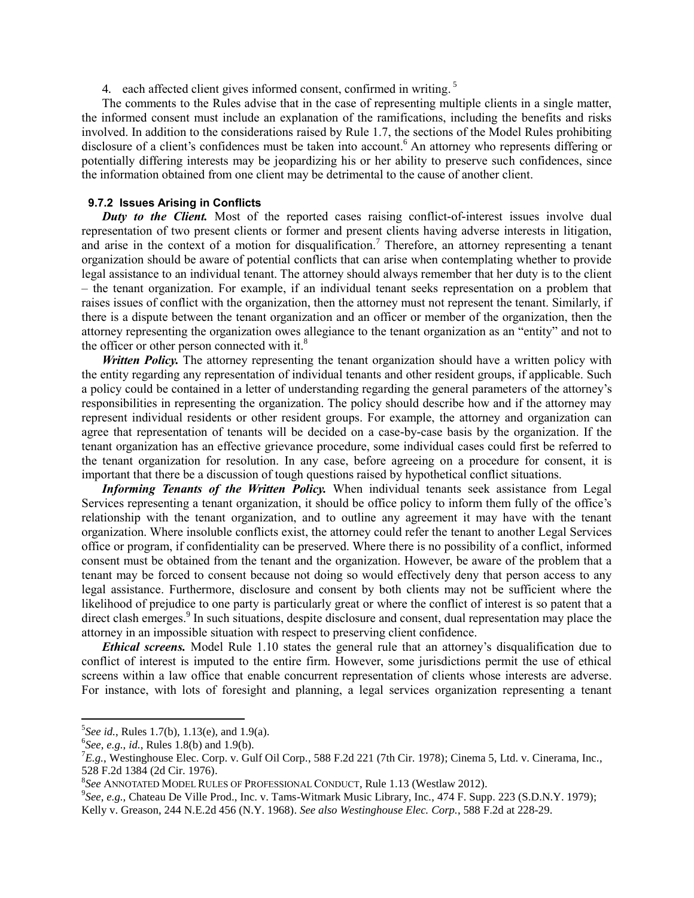4. each affected client gives informed consent, confirmed in writing.<sup>5</sup>

The comments to the Rules advise that in the case of representing multiple clients in a single matter, the informed consent must include an explanation of the ramifications, including the benefits and risks involved. In addition to the considerations raised by Rule 1.7, the sections of the Model Rules prohibiting disclosure of a client's confidences must be taken into account.<sup>6</sup> An attorney who represents differing or potentially differing interests may be jeopardizing his or her ability to preserve such confidences, since the information obtained from one client may be detrimental to the cause of another client.

## **9.7.2 Issues Arising in Conflicts**

**Duty to the Client.** Most of the reported cases raising conflict-of-interest issues involve dual representation of two present clients or former and present clients having adverse interests in litigation, and arise in the context of a motion for disqualification.<sup>7</sup> Therefore, an attorney representing a tenant organization should be aware of potential conflicts that can arise when contemplating whether to provide legal assistance to an individual tenant. The attorney should always remember that her duty is to the client – the tenant organization. For example, if an individual tenant seeks representation on a problem that raises issues of conflict with the organization, then the attorney must not represent the tenant. Similarly, if there is a dispute between the tenant organization and an officer or member of the organization, then the attorney representing the organization owes allegiance to the tenant organization as an "entity" and not to the officer or other person connected with it. $8$ 

*Written Policy*. The attorney representing the tenant organization should have a written policy with the entity regarding any representation of individual tenants and other resident groups, if applicable. Such a policy could be contained in a letter of understanding regarding the general parameters of the attorney's responsibilities in representing the organization. The policy should describe how and if the attorney may represent individual residents or other resident groups. For example, the attorney and organization can agree that representation of tenants will be decided on a case-by-case basis by the organization. If the tenant organization has an effective grievance procedure, some individual cases could first be referred to the tenant organization for resolution. In any case, before agreeing on a procedure for consent, it is important that there be a discussion of tough questions raised by hypothetical conflict situations.

*Informing Tenants of the Written Policy.* When individual tenants seek assistance from Legal Services representing a tenant organization, it should be office policy to inform them fully of the office's relationship with the tenant organization, and to outline any agreement it may have with the tenant organization. Where insoluble conflicts exist, the attorney could refer the tenant to another Legal Services office or program, if confidentiality can be preserved. Where there is no possibility of a conflict, informed consent must be obtained from the tenant and the organization. However, be aware of the problem that a tenant may be forced to consent because not doing so would effectively deny that person access to any legal assistance. Furthermore, disclosure and consent by both clients may not be sufficient where the likelihood of prejudice to one party is particularly great or where the conflict of interest is so patent that a direct clash emerges.<sup>9</sup> In such situations, despite disclosure and consent, dual representation may place the attorney in an impossible situation with respect to preserving client confidence.

*Ethical screens.* Model Rule 1.10 states the general rule that an attorney's disqualification due to conflict of interest is imputed to the entire firm. However, some jurisdictions permit the use of ethical screens within a law office that enable concurrent representation of clients whose interests are adverse. For instance, with lots of foresight and planning, a legal services organization representing a tenant

 $\overline{\phantom{a}}$ 

<sup>5</sup> *See id.*, Rules 1.7(b), 1.13(e), and 1.9(a).

<sup>6</sup> *See*, *e.g.*, *id.*, Rules 1.8(b) and 1.9(b).

<sup>7</sup>*E.g.*, Westinghouse Elec. Corp. v. Gulf Oil Corp., 588 F.2d 221 (7th Cir. 1978); Cinema 5, Ltd. v. Cinerama, Inc., 528 F.2d 1384 (2d Cir. 1976).

<sup>8</sup> *See* ANNOTATED MODEL RULES OF PROFESSIONAL CONDUCT, Rule 1.13 (Westlaw 2012).

<sup>9</sup> *See*, *e.g.*, Chateau De Ville Prod., Inc. v. Tams-Witmark Music Library, Inc*.*, 474 F. Supp. 223 (S.D.N.Y. 1979); Kelly v. Greason, 244 N.E.2d 456 (N.Y. 1968). *See also Westinghouse Elec. Corp.*, 588 F.2d at 228-29.